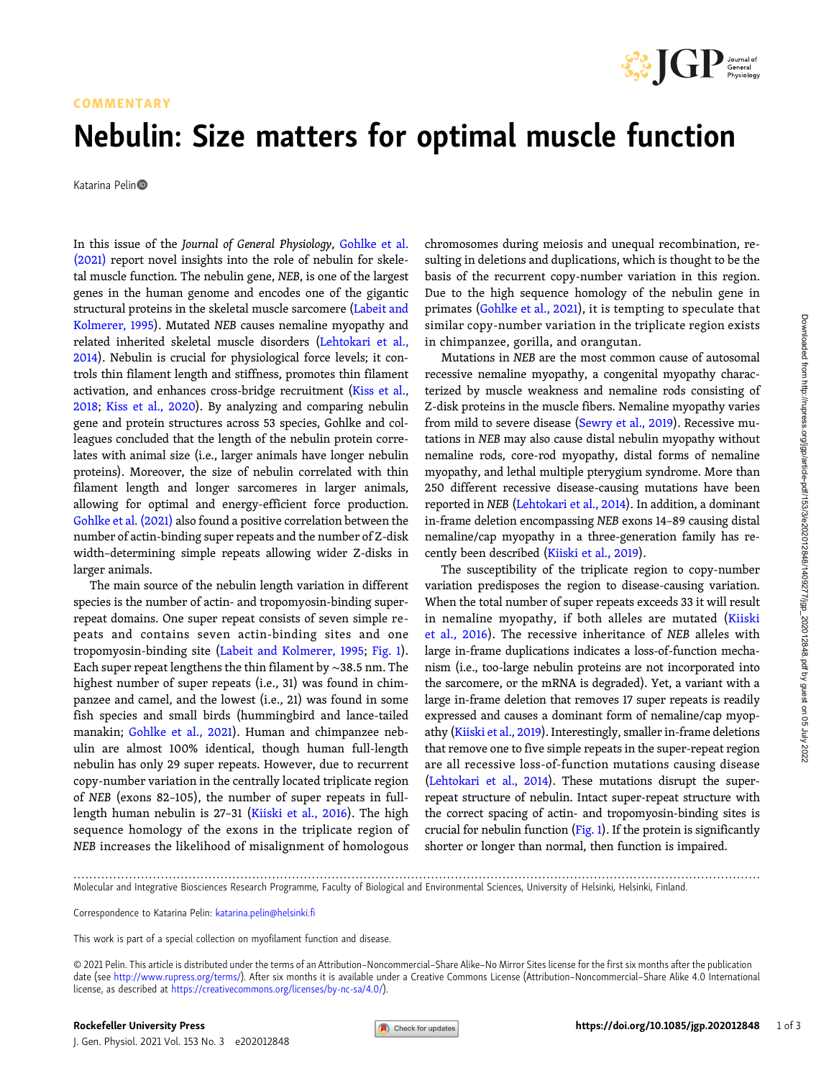

#### COMMENTARY

## Nebulin: Size matters for optimal muscle function

Katarina Pelin

In this issue of the Journal of General Physiology, [Gohlke et al.](#page-2-0) [\(2021\)](#page-2-0) report novel insights into the role of nebulin for skeletal muscle function. The nebulin gene, NEB, is one of the largest genes in the human genome and encodes one of the gigantic structural proteins in the skeletal muscle sarcomere ([Labeit and](#page-2-0) [Kolmerer, 1995\)](#page-2-0). Mutated NEB causes nemaline myopathy and related inherited skeletal muscle disorders ([Lehtokari et al.,](#page-2-0) [2014\)](#page-2-0). Nebulin is crucial for physiological force levels; it controls thin filament length and stiffness, promotes thin filament activation, and enhances cross-bridge recruitment ([Kiss et al.,](#page-2-0) [2018;](#page-2-0) [Kiss et al., 2020](#page-2-0)). By analyzing and comparing nebulin gene and protein structures across 53 species, Gohlke and colleagues concluded that the length of the nebulin protein correlates with animal size (i.e., larger animals have longer nebulin proteins). Moreover, the size of nebulin correlated with thin filament length and longer sarcomeres in larger animals, allowing for optimal and energy-efficient force production. [Gohlke et al. \(2021\)](#page-2-0) also found a positive correlation between the number of actin-binding super repeats and the number of Z-disk width–determining simple repeats allowing wider Z-disks in larger animals.

The main source of the nebulin length variation in different species is the number of actin- and tropomyosin-binding superrepeat domains. One super repeat consists of seven simple repeats and contains seven actin-binding sites and one tropomyosin-binding site ([Labeit and Kolmerer, 1995](#page-2-0); [Fig. 1](#page-1-0)). Each super repeat lengthens the thin filament by ∼38.5 nm. The highest number of super repeats (i.e., 31) was found in chimpanzee and camel, and the lowest (i.e., 21) was found in some fish species and small birds (hummingbird and lance-tailed manakin; [Gohlke et al., 2021\)](#page-2-0). Human and chimpanzee nebulin are almost 100% identical, though human full-length nebulin has only 29 super repeats. However, due to recurrent copy-number variation in the centrally located triplicate region of NEB (exons 82–105), the number of super repeats in fulllength human nebulin is 27–31 ([Kiiski et al., 2016\)](#page-2-0). The high sequence homology of the exons in the triplicate region of NEB increases the likelihood of misalignment of homologous

chromosomes during meiosis and unequal recombination, resulting in deletions and duplications, which is thought to be the basis of the recurrent copy-number variation in this region. Due to the high sequence homology of the nebulin gene in primates [\(Gohlke et al., 2021](#page-2-0)), it is tempting to speculate that similar copy-number variation in the triplicate region exists in chimpanzee, gorilla, and orangutan.

Mutations in NEB are the most common cause of autosomal recessive nemaline myopathy, a congenital myopathy characterized by muscle weakness and nemaline rods consisting of Z-disk proteins in the muscle fibers. Nemaline myopathy varies from mild to severe disease [\(Sewry et al., 2019](#page-2-0)). Recessive mutations in NEB may also cause distal nebulin myopathy without nemaline rods, core-rod myopathy, distal forms of nemaline myopathy, and lethal multiple pterygium syndrome. More than 250 different recessive disease-causing mutations have been reported in NEB [\(Lehtokari et al., 2014\)](#page-2-0). In addition, a dominant in-frame deletion encompassing NEB exons 14–89 causing distal nemaline/cap myopathy in a three-generation family has recently been described [\(Kiiski et al., 2019\)](#page-2-0).

The susceptibility of the triplicate region to copy-number variation predisposes the region to disease-causing variation. When the total number of super repeats exceeds 33 it will result in nemaline myopathy, if both alleles are mutated ([Kiiski](#page-2-0) [et al., 2016](#page-2-0)). The recessive inheritance of NEB alleles with large in-frame duplications indicates a loss-of-function mechanism (i.e., too-large nebulin proteins are not incorporated into the sarcomere, or the mRNA is degraded). Yet, a variant with a large in-frame deletion that removes 17 super repeats is readily expressed and causes a dominant form of nemaline/cap myopathy ([Kiiski et al., 2019](#page-2-0)). Interestingly, smaller in-frame deletions that remove one to five simple repeats in the super-repeat region are all recessive loss-of-function mutations causing disease [\(Lehtokari et al., 2014\)](#page-2-0). These mutations disrupt the superrepeat structure of nebulin. Intact super-repeat structure with the correct spacing of actin- and tropomyosin-binding sites is crucial for nebulin function  $(Fig. 1)$  $(Fig. 1)$ . If the protein is significantly shorter or longer than normal, then function is impaired.

<sup>.............................................................................................................................................................................</sup> Molecular and Integrative Biosciences Research Programme, Faculty of Biological and Environmental Sciences, University of Helsinki, Helsinki, Finland.

Correspondence to Katarina Pelin: [katarina.pelin@helsinki.fi](mailto:katarina.pelin@helsinki.fi)

This work is part of a special collection on myofilament function and disease.

<sup>© 2021</sup> Pelin. This article is distributed under the terms of an Attribution–Noncommercial–Share Alike–No Mirror Sites license for the first six months after the publication date (see [http://www.rupress.org/terms/\)](http://www.rupress.org/terms/). After six months it is available under a Creative Commons License (Attribution–Noncommercial–Share Alike 4.0 International license, as described at <https://creativecommons.org/licenses/by-nc-sa/4.0/>).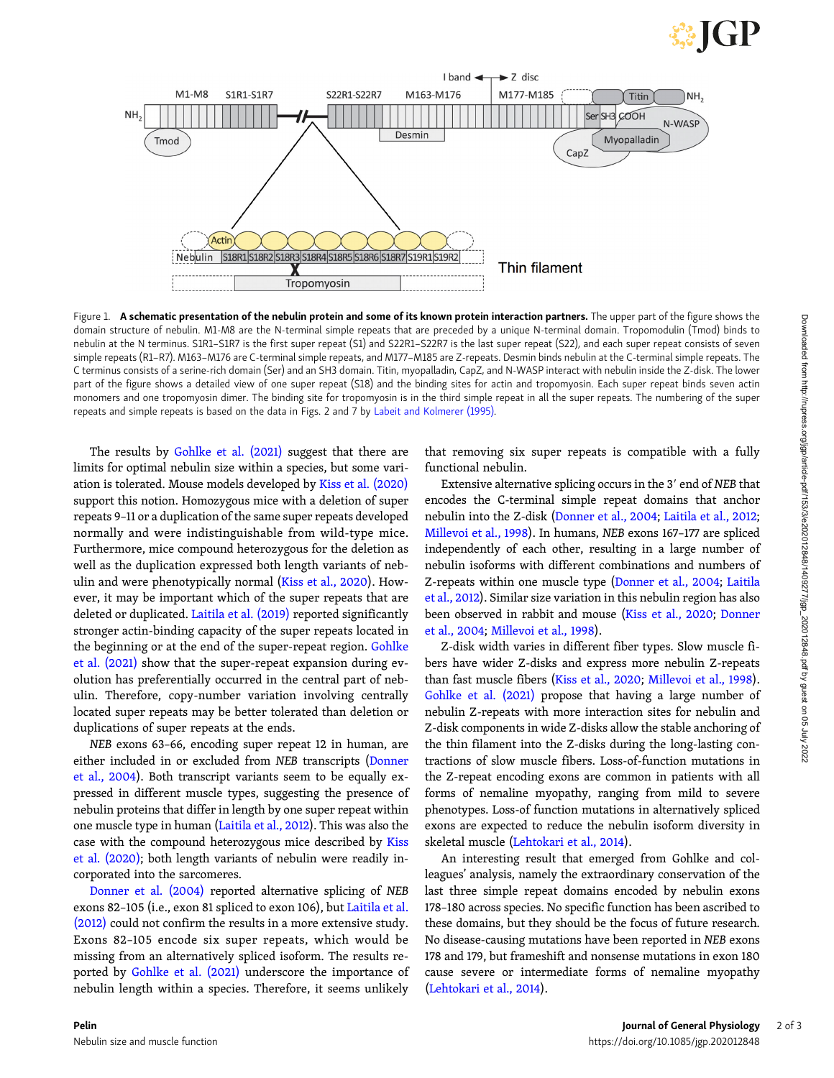# GP

<span id="page-1-0"></span>

Figure 1. A schematic presentation of the nebulin protein and some of its known protein interaction partners. The upper part of the figure shows the domain structure of nebulin. M1-M8 are the N-terminal simple repeats that are preceded by a unique N-terminal domain. Tropomodulin (Tmod) binds to nebulin at the N terminus. S1R1–S1R7 is the first super repeat (S1) and S22R1–S22R7 is the last super repeat (S22), and each super repeat consists of seven simple repeats (R1–R7). M163–M176 are C-terminal simple repeats, and M177–M185 are Z-repeats. Desmin binds nebulin at the C-terminal simple repeats. The C terminus consists of a serine-rich domain (Ser) and an SH3 domain. Titin, myopalladin, CapZ, and N-WASP interact with nebulin inside the Z-disk. The lower part of the figure shows a detailed view of one super repeat (S18) and the binding sites for actin and tropomyosin. Each super repeat binds seven actin monomers and one tropomyosin dimer. The binding site for tropomyosin is in the third simple repeat in all the super repeats. The numbering of the super repeats and simple repeats is based on the data in Figs. 2 and 7 by [Labeit and Kolmerer \(1995\).](#page-2-0)

The results by [Gohlke et al. \(2021\)](#page-2-0) suggest that there are limits for optimal nebulin size within a species, but some variation is tolerated. Mouse models developed by [Kiss et al. \(2020\)](#page-2-0) support this notion. Homozygous mice with a deletion of super repeats 9–11 or a duplication of the same super repeats developed normally and were indistinguishable from wild-type mice. Furthermore, mice compound heterozygous for the deletion as well as the duplication expressed both length variants of nebulin and were phenotypically normal ([Kiss et al., 2020\)](#page-2-0). However, it may be important which of the super repeats that are deleted or duplicated. [Laitila et al. \(2019\)](#page-2-0) reported significantly stronger actin-binding capacity of the super repeats located in the beginning or at the end of the super-repeat region. [Gohlke](#page-2-0) [et al. \(2021\)](#page-2-0) show that the super-repeat expansion during evolution has preferentially occurred in the central part of nebulin. Therefore, copy-number variation involving centrally located super repeats may be better tolerated than deletion or duplications of super repeats at the ends.

NEB exons 63–66, encoding super repeat 12 in human, are either included in or excluded from NEB transcripts [\(Donner](#page-2-0) [et al., 2004\)](#page-2-0). Both transcript variants seem to be equally expressed in different muscle types, suggesting the presence of nebulin proteins that differ in length by one super repeat within one muscle type in human [\(Laitila et al., 2012](#page-2-0)). This was also the case with the compound heterozygous mice described by [Kiss](#page-2-0) [et al. \(2020\)](#page-2-0); both length variants of nebulin were readily incorporated into the sarcomeres.

[Donner et al. \(2004\)](#page-2-0) reported alternative splicing of NEB exons 82–105 (i.e., exon 81 spliced to exon 106), but [Laitila et al.](#page-2-0) [\(2012\)](#page-2-0) could not confirm the results in a more extensive study. Exons 82–105 encode six super repeats, which would be missing from an alternatively spliced isoform. The results reported by [Gohlke et al. \(2021\)](#page-2-0) underscore the importance of nebulin length within a species. Therefore, it seems unlikely

that removing six super repeats is compatible with a fully functional nebulin.

Extensive alternative splicing occurs in the 3' end of NEB that encodes the C-terminal simple repeat domains that anchor nebulin into the Z-disk ([Donner et al., 2004;](#page-2-0) [Laitila et al., 2012;](#page-2-0) [Millevoi et al., 1998\)](#page-2-0). In humans, NEB exons 167–177 are spliced independently of each other, resulting in a large number of nebulin isoforms with different combinations and numbers of Z-repeats within one muscle type ([Donner et al., 2004](#page-2-0); [Laitila](#page-2-0) [et al., 2012](#page-2-0)). Similar size variation in this nebulin region has also been observed in rabbit and mouse [\(Kiss et al., 2020;](#page-2-0) [Donner](#page-2-0) [et al., 2004;](#page-2-0) [Millevoi et al., 1998](#page-2-0)).

Z-disk width varies in different fiber types. Slow muscle fibers have wider Z-disks and express more nebulin Z-repeats than fast muscle fibers ([Kiss et al., 2020;](#page-2-0) [Millevoi et al., 1998\)](#page-2-0). [Gohlke et al. \(2021\)](#page-2-0) propose that having a large number of nebulin Z-repeats with more interaction sites for nebulin and Z-disk components in wide Z-disks allow the stable anchoring of the thin filament into the Z-disks during the long-lasting contractions of slow muscle fibers. Loss-of-function mutations in the Z-repeat encoding exons are common in patients with all forms of nemaline myopathy, ranging from mild to severe phenotypes. Loss-of function mutations in alternatively spliced exons are expected to reduce the nebulin isoform diversity in skeletal muscle ([Lehtokari et al., 2014](#page-2-0)).

An interesting result that emerged from Gohlke and colleagues' analysis, namely the extraordinary conservation of the last three simple repeat domains encoded by nebulin exons 178–180 across species. No specific function has been ascribed to these domains, but they should be the focus of future research. No disease-causing mutations have been reported in NEB exons 178 and 179, but frameshift and nonsense mutations in exon 180 cause severe or intermediate forms of nemaline myopathy [\(Lehtokari et al., 2014\)](#page-2-0).